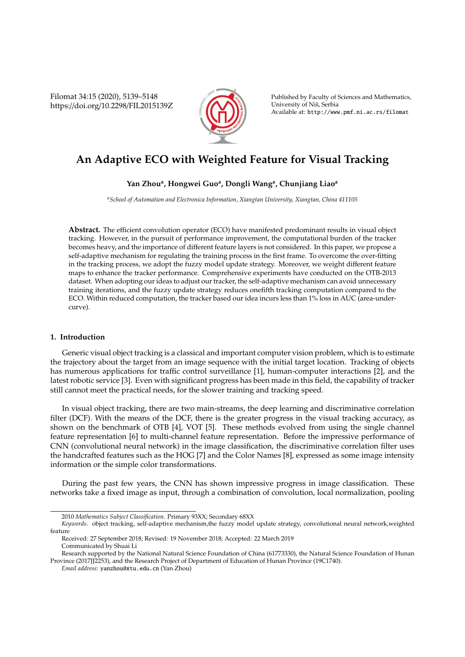Filomat 34:15 (2020), 5139–5148 https://doi.org/10.2298/FIL2015139Z



Published by Faculty of Sciences and Mathematics, University of Niš, Serbia Available at: http://www.pmf.ni.ac.rs/filomat

# **An Adaptive ECO with Weighted Feature for Visual Tracking**

# **Yan Zhou<sup>a</sup> , Hongwei Guo<sup>a</sup> , Dongli Wang<sup>a</sup> , Chunjiang Liao<sup>a</sup>**

*<sup>a</sup>School of Automation and Electronica Information, Xiangtan University, Xiangtan, China 411105*

**Abstract.** The efficient convolution operator (ECO) have manifested predominant results in visual object tracking. However, in the pursuit of performance improvement, the computational burden of the tracker becomes heavy, and the importance of different feature layers is not considered. In this paper, we propose a self-adaptive mechanism for regulating the training process in the first frame. To overcome the over-fitting in the tracking process, we adopt the fuzzy model update strategy. Moreover, we weight different feature maps to enhance the tracker performance. Comprehensive experiments have conducted on the OTB-2013 dataset. When adopting our ideas to adjust our tracker, the self-adaptive mechanism can avoid unnecessary training iterations, and the fuzzy update strategy reduces onefifth tracking computation compared to the ECO. Within reduced computation, the tracker based our idea incurs less than 1% loss in AUC (area-undercurve).

# **1. Introduction**

Generic visual object tracking is a classical and important computer vision problem, which is to estimate the trajectory about the target from an image sequence with the initial target location. Tracking of objects has numerous applications for traffic control surveillance [1], human-computer interactions [2], and the latest robotic service [3]. Even with significant progress has been made in this field, the capability of tracker still cannot meet the practical needs, for the slower training and tracking speed.

In visual object tracking, there are two main-streams, the deep learning and discriminative correlation filter (DCF). With the means of the DCF, there is the greater progress in the visual tracking accuracy, as shown on the benchmark of OTB [4], VOT [5]. These methods evolved from using the single channel feature representation [6] to multi-channel feature representation. Before the impressive performance of CNN (convolutional neural network) in the image classification, the discriminative correlation filter uses the handcrafted features such as the HOG [7] and the Color Names [8], expressed as some image intensity information or the simple color transformations.

During the past few years, the CNN has shown impressive progress in image classification. These networks take a fixed image as input, through a combination of convolution, local normalization, pooling

<sup>2010</sup> *Mathematics Subject Classification*. Primary 93XX; Secondary 68XX

*Keywords*. object tracking, self-adaptive mechanism,the fuzzy model update strategy, convolutional neural network,weighted feature

Received: 27 September 2018; Revised: 19 November 2018; Accepted: 22 March 2019 Communicated by Shuai Li

Research supported by the National Natural Science Foundation of China (61773330), the Natural Science Foundation of Hunan Province (2017JJ2253), and the Research Project of Department of Education of Hunan Province (19C1740).

*Email address:* yanzhou@xtu.edu.cn (Yan Zhou)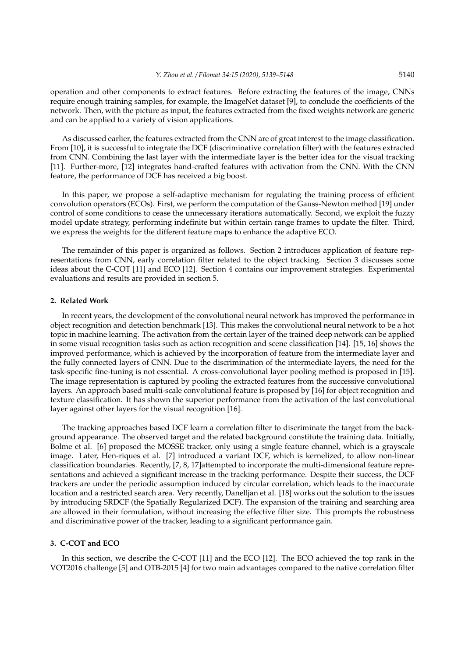operation and other components to extract features. Before extracting the features of the image, CNNs require enough training samples, for example, the ImageNet dataset [9], to conclude the coefficients of the network. Then, with the picture as input, the features extracted from the fixed weights network are generic and can be applied to a variety of vision applications.

As discussed earlier, the features extracted from the CNN are of great interest to the image classification. From [10], it is successful to integrate the DCF (discriminative correlation filter) with the features extracted from CNN. Combining the last layer with the intermediate layer is the better idea for the visual tracking [11]. Further-more, [12] integrates hand-crafted features with activation from the CNN. With the CNN feature, the performance of DCF has received a big boost.

In this paper, we propose a self-adaptive mechanism for regulating the training process of efficient convolution operators (ECOs). First, we perform the computation of the Gauss-Newton method [19] under control of some conditions to cease the unnecessary iterations automatically. Second, we exploit the fuzzy model update strategy, performing indefinite but within certain range frames to update the filter. Third, we express the weights for the different feature maps to enhance the adaptive ECO.

The remainder of this paper is organized as follows. Section 2 introduces application of feature representations from CNN, early correlation filter related to the object tracking. Section 3 discusses some ideas about the C-COT [11] and ECO [12]. Section 4 contains our improvement strategies. Experimental evaluations and results are provided in section 5.

#### **2. Related Work**

In recent years, the development of the convolutional neural network has improved the performance in object recognition and detection benchmark [13]. This makes the convolutional neural network to be a hot topic in machine learning. The activation from the certain layer of the trained deep network can be applied in some visual recognition tasks such as action recognition and scene classification [14]. [15, 16] shows the improved performance, which is achieved by the incorporation of feature from the intermediate layer and the fully connected layers of CNN. Due to the discrimination of the intermediate layers, the need for the task-specific fine-tuning is not essential. A cross-convolutional layer pooling method is proposed in [15]. The image representation is captured by pooling the extracted features from the successive convolutional layers. An approach based multi-scale convolutional feature is proposed by [16] for object recognition and texture classification. It has shown the superior performance from the activation of the last convolutional layer against other layers for the visual recognition [16].

The tracking approaches based DCF learn a correlation filter to discriminate the target from the background appearance. The observed target and the related background constitute the training data. Initially, Bolme et al. [6] proposed the MOSSE tracker, only using a single feature channel, which is a grayscale image. Later, Hen-riques et al. [7] introduced a variant DCF, which is kernelized, to allow non-linear classification boundaries. Recently, [7, 8, 17]attempted to incorporate the multi-dimensional feature representations and achieved a significant increase in the tracking performance. Despite their success, the DCF trackers are under the periodic assumption induced by circular correlation, which leads to the inaccurate location and a restricted search area. Very recently, Danelljan et al. [18] works out the solution to the issues by introducing SRDCF (the Spatially Regularized DCF). The expansion of the training and searching area are allowed in their formulation, without increasing the effective filter size. This prompts the robustness and discriminative power of the tracker, leading to a significant performance gain.

## **3. C-COT and ECO**

In this section, we describe the C-COT [11] and the ECO [12]. The ECO achieved the top rank in the VOT2016 challenge [5] and OTB-2015 [4] for two main advantages compared to the native correlation filter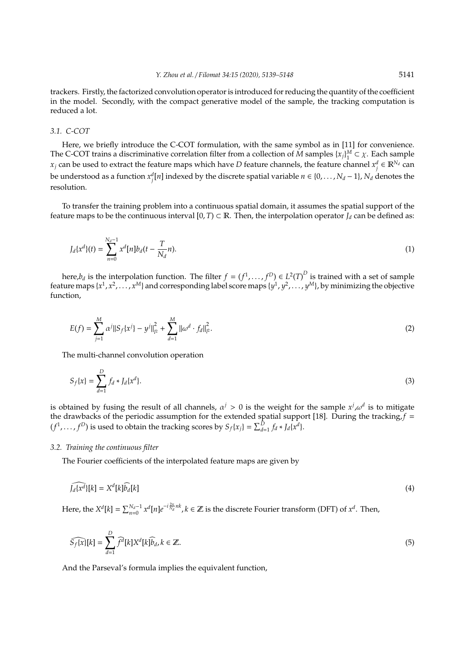trackers. Firstly, the factorized convolution operator is introduced for reducing the quantity of the coefficient in the model. Secondly, with the compact generative model of the sample, the tracking computation is reduced a lot.

## *3.1. C-COT*

Here, we briefly introduce the C-COT formulation, with the same symbol as in [11] for convenience. The C-COT trains a discriminative correlation filter from a collection of  $\tilde{M}$  samples  $\{x_j\}_1^M \subset \chi$ . Each sample *x*<sub>*j*</sub> can be used to extract the feature maps which have *D* feature channels, the feature channel  $x_j^d \in \mathbb{R}^{N_d}$  can be understood as a function  $x_j^d[n]$  indexed by the discrete spatial variable  $n \in \{0,\ldots,N_d-1\}$ ,  $N_d$  denotes the resolution.

To transfer the training problem into a continuous spatial domain, it assumes the spatial support of the feature maps to be the continuous interval  $[0, T) \subset \mathbb{R}$ . Then, the interpolation operator *J<sub>d</sub>* can be defined as:

$$
J_d\{x^d\}(t) = \sum_{n=0}^{N_d-1} x^d [n] b_d(t - \frac{T}{N_d}n). \tag{1}
$$

here, $b_d$  is the interpolation function. The filter  $f = (f^1, \ldots, f^D) \in L^2(T)^D$  is trained with a set of sample feature maps { $x^1, x^2, ..., x^M$ } and corresponding label score maps { $y^1, y^2, ..., y^M$ }, by minimizing the objective function,

$$
E(f) = \sum_{j=1}^{M} \alpha^{j} ||S_{f}\{x^{j}\} - y^{j}||_{p}^{2} + \sum_{d=1}^{M} ||\omega^{d} \cdot f_{d}||_{p}^{2}.
$$
 (2)

The multi-channel convolution operation

$$
S_f\{x\} = \sum_{d=1}^{D} f_d * J_d\{x^d\}.
$$
 (3)

is obtained by fusing the result of all channels,  $\alpha^j > 0$  is the weight for the sample  $x^j$ ,  $\omega^d$  is to mitigate the drawbacks of the periodic assumption for the extended spatial support [18]. During the tracking,  $f =$  $(f^1, \ldots, f^D)$  is used to obtain the tracking scores by  $S_f\{x_j\} = \sum_{d=1}^D f_d * J_d\{x^d\}.$ 

## *3.2. Training the continuous filter*

The Fourier coefficients of the interpolated feature maps are given by

$$
\widehat{J_d(x^d)}[k] = X^d[k]\widehat{b_d}[k] \tag{4}
$$

Here, the  $X^d[k] = \sum_{n=0}^{N_d-1} x^d[n]e^{-i\frac{2\pi}{N_d}nk}$ ,  $k \in \mathbb{Z}$  is the discrete Fourier transform (DFT) of  $x^d$ . Then,

$$
\widehat{S_f\{x\}}[k] = \sum_{d=1}^{D} \widehat{f}^d[k] X^d[k] \widehat{b}_d, k \in \mathbb{Z}.
$$
\n
$$
(5)
$$

And the Parseval's formula implies the equivalent function,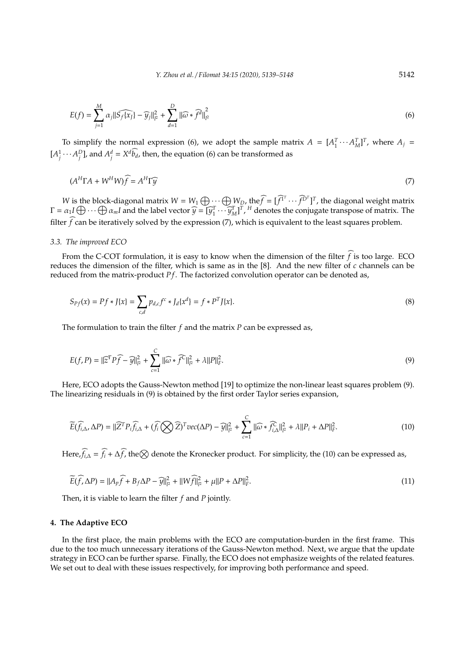$$
E(f) = \sum_{j=1}^{M} \alpha_j \|\widehat{S_f(x_j)} - \widehat{y_j}\|_{l^2}^2 + \sum_{d=1}^{D} \|\widehat{\omega} * \widehat{f}^d\|_{l^2}^2
$$
 (6)

To simplify the normal expression (6), we adopt the sample matrix  $A = [A_1^T \cdots A_M^T]^T$ , where  $A_j =$  $[A_j^1 \cdots A_j^D]$ , and  $A_j^d = X^d \widetilde{b_d}$ , then, the equation (6) can be transformed as

$$
(A^H \Gamma A + W^H W) \widehat{f} = A^H \Gamma \widehat{y}
$$
\n<sup>(7)</sup>

*W* is the block-diagonal matrix  $W = W_1 \bigoplus_{\substack{r \in \mathcal{F}}} W_p$ , the  $\widehat{f} = [\widehat{f}^T \cdots \widehat{f}^{D^T}]^T$ , the diagonal weight matrix  $\Gamma = \alpha_1 I \bigoplus \cdots \bigoplus \alpha_m I$  and the label vector  $\widehat{y} = [\widehat{y}_1^T \cdots \widehat{y}_M^T]^T$ , <sup>*H*</sup> denotes the conjugate transpose of matrix. The filter  $f$  can be iteratively solved by the expression (7), which is equivalent to the least squares problem.

#### *3.3. The improved ECO*

From the C-COT formulation, it is easy to know when the dimension of the filter  $\tilde{f}$  is too large. ECO reduces the dimension of the filter, which is same as in the [8]. And the new filter of *c* channels can be reduced from the matrix-product *P f*. The factorized convolution operator can be denoted as,

$$
S_{Pf}(x) = Pf * J\{x\} = \sum_{c,d} p_{d,c} f^c * J_d\{x^d\} = f * P^T J\{x\}.
$$
 (8)

The formulation to train the filter *f* and the matrix *P* can be expressed as,

$$
E(f, P) = ||\widehat{z}^T P \widehat{f} - \widehat{y}||_{l^2}^2 + \sum_{c=1}^C ||\widehat{\omega} * \widehat{f}^C||_{l^2}^2 + \lambda ||P||_F^2.
$$
\n(9)

Here, ECO adopts the Gauss-Newton method [19] to optimize the non-linear least squares problem (9). The linearizing residuals in (9) is obtained by the first order Taylor series expansion,

$$
\widetilde{E}(\widehat{f_{i,\Delta}}, \Delta P) = \|\widehat{Z}^T P_i \widehat{f_{i,\Delta}} + (\widehat{f_i} \bigotimes \widehat{Z})^T vec(\Delta P) - \widehat{y}\|_{P}^2 + \sum_{c=1}^C \|\widehat{\omega} * \widehat{f_{i,\Delta}}\|_{P}^2 + \lambda \|P_i + \Delta P\|_{P}^2.
$$
\n(10)

Here,  $\widehat{f_i}$  =  $\widehat{f_i}$  +  $\Delta \widehat{f}$ , the $\otimes$  denote the Kronecker product. For simplicity, the (10) can be expressed as,

$$
\widetilde{E}(\widehat{f}, \Delta P) = ||A_p \widehat{f} + B_f \Delta P - \widehat{y}||_p^2 + ||W\widehat{f}||_p^2 + \mu||P + \Delta P||_F^2.
$$
\n(11)

Then, it is viable to learn the filter *f* and *P* jointly.

## **4. The Adaptive ECO**

In the first place, the main problems with the ECO are computation-burden in the first frame. This due to the too much unnecessary iterations of the Gauss-Newton method. Next, we argue that the update strategy in ECO can be further sparse. Finally, the ECO does not emphasize weights of the related features. We set out to deal with these issues respectively, for improving both performance and speed.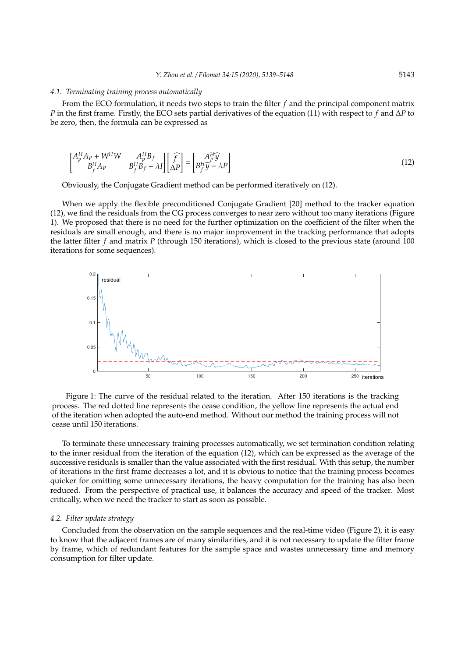#### *4.1. Terminating training process automatically*

From the ECO formulation, it needs two steps to train the filter *f* and the principal component matrix *P* in the first frame. Firstly, the ECO sets partial derivatives of the equation (11) with respect to *f* and ∆*P* to be zero, then, the formula can be expressed as

$$
\begin{bmatrix} A_p^H A_p + W^H W & A_p^H B_f \\ B_f^H A_p & B_f^H B_f + \lambda I \end{bmatrix} \begin{bmatrix} \widehat{f} \\ \Delta P \end{bmatrix} = \begin{bmatrix} A_p^H \widehat{y} \\ B_f^H \widehat{y} - \lambda P \end{bmatrix}
$$
(12)

Obviously, the Conjugate Gradient method can be performed iteratively on (12).

When we apply the flexible preconditioned Conjugate Gradient [20] method to the tracker equation (12), we find the residuals from the CG process converges to near zero without too many iterations (Figure 1). We proposed that there is no need for the further optimization on the coefficient of the filter when the residuals are small enough, and there is no major improvement in the tracking performance that adopts the latter filter *f* and matrix *P* (through 150 iterations), which is closed to the previous state (around 100 iterations for some sequences).



Figure 1: The curve of the residual related to the iteration. After 150 iterations is the tracking process. The red dotted line represents the cease condition, the yellow line represents the actual end of the iteration when adopted the auto-end method. Without our method the training process will not cease until 150 iterations.

To terminate these unnecessary training processes automatically, we set termination condition relating to the inner residual from the iteration of the equation (12), which can be expressed as the average of the successive residuals is smaller than the value associated with the first residual. With this setup, the number of iterations in the first frame decreases a lot, and it is obvious to notice that the training process becomes quicker for omitting some unnecessary iterations, the heavy computation for the training has also been reduced. From the perspective of practical use, it balances the accuracy and speed of the tracker. Most critically, when we need the tracker to start as soon as possible.

#### *4.2. Filter update strategy*

Concluded from the observation on the sample sequences and the real-time video (Figure 2), it is easy to know that the adjacent frames are of many similarities, and it is not necessary to update the filter frame by frame, which of redundant features for the sample space and wastes unnecessary time and memory consumption for filter update.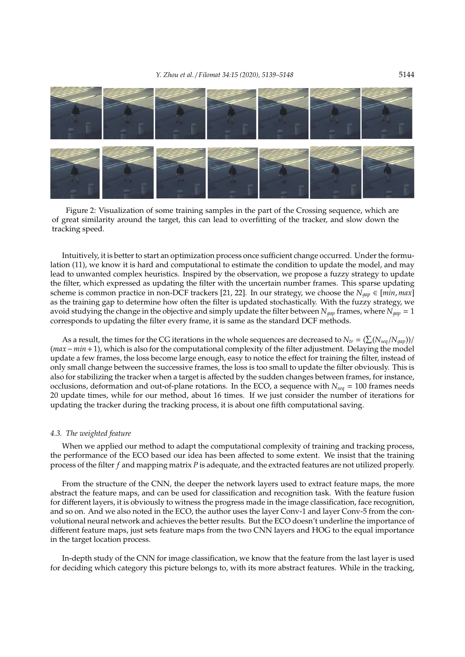

Figure 2: Visualization of some training samples in the part of the Crossing sequence, which are of great similarity around the target, this can lead to overfitting of the tracker, and slow down the tracking speed.

Intuitively, it is better to start an optimization process once sufficient change occurred. Under the formulation (11), we know it is hard and computational to estimate the condition to update the model, and may lead to unwanted complex heuristics. Inspired by the observation, we propose a fuzzy strategy to update the filter, which expressed as updating the filter with the uncertain number frames. This sparse updating scheme is common practice in non-DCF trackers [21, 22]. In our strategy, we choose the  $N_{gap} \in [min, max]$ as the training gap to determine how often the filter is updated stochastically. With the fuzzy strategy, we avoid studying the change in the objective and simply update the filter between  $N_{qap}$  frames, where  $N_{qap} = 1$ corresponds to updating the filter every frame, it is same as the standard DCF methods.

As a result, the times for the CG iterations in the whole sequences are decreased to  $N_{tr} = (\sum (N_{seq}/N_{gap}))/$ (*max*−*min*+1), which is also for the computational complexity of the filter adjustment. Delaying the model update a few frames, the loss become large enough, easy to notice the effect for training the filter, instead of only small change between the successive frames, the loss is too small to update the filter obviously. This is also for stabilizing the tracker when a target is affected by the sudden changes between frames, for instance, occlusions, deformation and out-of-plane rotations. In the ECO, a sequence with *Nseq* = 100 frames needs 20 update times, while for our method, about 16 times. If we just consider the number of iterations for updating the tracker during the tracking process, it is about one fifth computational saving.

#### *4.3. The weighted feature*

When we applied our method to adapt the computational complexity of training and tracking process, the performance of the ECO based our idea has been affected to some extent. We insist that the training process of the filter *f* and mapping matrix *P* is adequate, and the extracted features are not utilized properly.

From the structure of the CNN, the deeper the network layers used to extract feature maps, the more abstract the feature maps, and can be used for classification and recognition task. With the feature fusion for different layers, it is obviously to witness the progress made in the image classification, face recognition, and so on. And we also noted in the ECO, the author uses the layer Conv-1 and layer Conv-5 from the convolutional neural network and achieves the better results. But the ECO doesn't underline the importance of different feature maps, just sets feature maps from the two CNN layers and HOG to the equal importance in the target location process.

In-depth study of the CNN for image classification, we know that the feature from the last layer is used for deciding which category this picture belongs to, with its more abstract features. While in the tracking,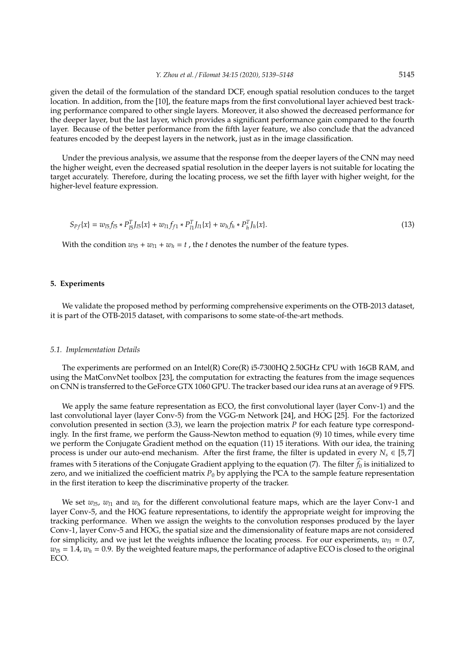given the detail of the formulation of the standard DCF, enough spatial resolution conduces to the target location. In addition, from the [10], the feature maps from the first convolutional layer achieved best tracking performance compared to other single layers. Moreover, it also showed the decreased performance for the deeper layer, but the last layer, which provides a significant performance gain compared to the fourth layer. Because of the better performance from the fifth layer feature, we also conclude that the advanced features encoded by the deepest layers in the network, just as in the image classification.

Under the previous analysis, we assume that the response from the deeper layers of the CNN may need the higher weight, even the decreased spatial resolution in the deeper layers is not suitable for locating the target accurately. Therefore, during the locating process, we set the fifth layer with higher weight, for the higher-level feature expression.

$$
S_{Pf}\{x\} = w_{15}f_{15} * P_{15}^T J_{15}\{x\} + w_{11}f_{f1} * P_{11}^T J_{11}\{x\} + w_{h}f_{h} * P_{h}^T J_{h}\{x\}.
$$
\n(13)

With the condition  $w_{15} + w_{11} + w_h = t$ , the *t* denotes the number of the feature types.

#### **5. Experiments**

We validate the proposed method by performing comprehensive experiments on the OTB-2013 dataset, it is part of the OTB-2015 dataset, with comparisons to some state-of-the-art methods.

#### *5.1. Implementation Details*

The experiments are performed on an Intel(R) Core(R) i5-7300HQ 2.50GHz CPU with 16GB RAM, and using the MatConvNet toolbox [23], the computation for extracting the features from the image sequences on CNN is transferred to the GeForce GTX 1060 GPU. The tracker based our idea runs at an average of 9 FPS.

We apply the same feature representation as ECO, the first convolutional layer (layer Conv-1) and the last convolutional layer (layer Conv-5) from the VGG-m Network [24], and HOG [25]. For the factorized convolution presented in section (3.3), we learn the projection matrix *P* for each feature type correspondingly. In the first frame, we perform the Gauss-Newton method to equation (9) 10 times, while every time we perform the Conjugate Gradient method on the equation (11) 15 iterations. With our idea, the training process is under our auto-end mechanism. After the first frame, the filter is updated in every  $N_s \in [5,7]$ frames with 5 iterations of the Conjugate Gradient applying to the equation  $(7)$ . The filter  $f_0$  is initialized to zero, and we initialized the coefficient matrix  $P_0$  by applying the PCA to the sample feature representation in the first iteration to keep the discriminative property of the tracker.

We set  $w_{15}$ ,  $w_{11}$  and  $w_h$  for the different convolutional feature maps, which are the layer Conv-1 and layer Conv-5, and the HOG feature representations, to identify the appropriate weight for improving the tracking performance. When we assign the weights to the convolution responses produced by the layer Conv-1, layer Conv-5 and HOG, the spatial size and the dimensionality of feature maps are not considered for simplicity, and we just let the weights influence the locating process. For our experiments,  $w_{l1} = 0.7$ ,  $w_{l5} = 1.4$ ,  $w_h = 0.9$ . By the weighted feature maps, the performance of adaptive ECO is closed to the original ECO.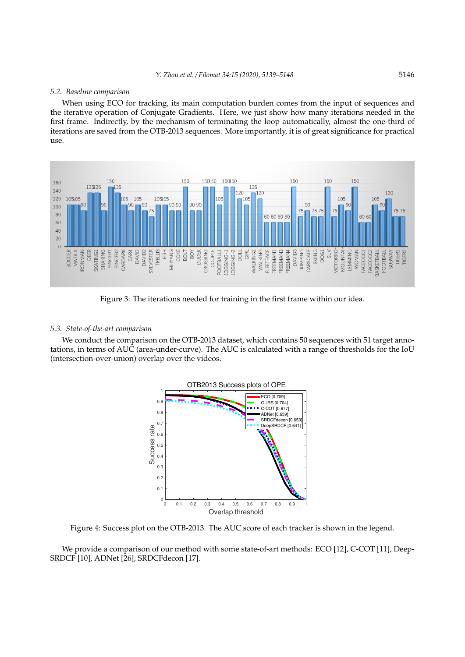#### *5.2. Baseline comparison*

When using ECO for tracking, its main computation burden comes from the input of sequences and the iterative operation of Conjugate Gradients. Here, we just show how many iterations needed in the first frame. Indirectly, by the mechanism of terminating the loop automatically, almost the one-third of iterations are saved from the OTB-2013 sequences. More importantly, it is of great significance for practical use.



Figure 3: The iterations needed for training in the first frame within our idea.

## *5.3. State-of-the-art comparison*

We conduct the comparison on the OTB-2013 dataset, which contains 50 sequences with 51 target annotations, in terms of AUC (area-under-curve). The AUC is calculated with a range of thresholds for the IoU (intersection-over-union) overlap over the videos.



Figure 4: Success plot on the OTB-2013. The AUC score of each tracker is shown in the legend.

We provide a comparison of our method with some state-of-art methods: ECO [12], C-COT [11], Deep-SRDCF [10], ADNet [26], SRDCFdecon [17].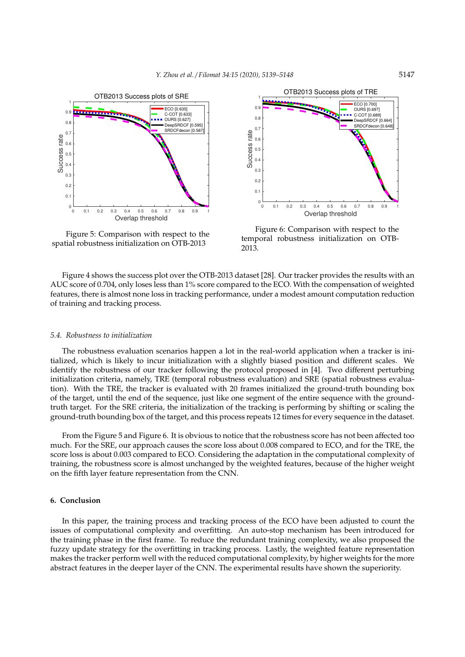

Figure 5: Comparison with respect to the spatial robustness initialization on OTB-2013



Figure 6: Comparison with respect to the temporal robustness initialization on OTB-2013.

Figure 4 shows the success plot over the OTB-2013 dataset [28]. Our tracker provides the results with an AUC score of 0.704, only loses less than 1% score compared to the ECO. With the compensation of weighted features, there is almost none loss in tracking performance, under a modest amount computation reduction of training and tracking process.

#### *5.4. Robustness to initialization*

The robustness evaluation scenarios happen a lot in the real-world application when a tracker is initialized, which is likely to incur initialization with a slightly biased position and different scales. We identify the robustness of our tracker following the protocol proposed in [4]. Two different perturbing initialization criteria, namely, TRE (temporal robustness evaluation) and SRE (spatial robustness evaluation). With the TRE, the tracker is evaluated with 20 frames initialized the ground-truth bounding box of the target, until the end of the sequence, just like one segment of the entire sequence with the groundtruth target. For the SRE criteria, the initialization of the tracking is performing by shifting or scaling the ground-truth bounding box of the target, and this process repeats 12 times for every sequence in the dataset.

From the Figure 5 and Figure 6. It is obvious to notice that the robustness score has not been affected too much. For the SRE, our approach causes the score loss about 0.008 compared to ECO, and for the TRE, the score loss is about 0.003 compared to ECO. Considering the adaptation in the computational complexity of training, the robustness score is almost unchanged by the weighted features, because of the higher weight on the fifth layer feature representation from the CNN.

## **6. Conclusion**

In this paper, the training process and tracking process of the ECO have been adjusted to count the issues of computational complexity and overfitting. An auto-stop mechanism has been introduced for the training phase in the first frame. To reduce the redundant training complexity, we also proposed the fuzzy update strategy for the overfitting in tracking process. Lastly, the weighted feature representation makes the tracker perform well with the reduced computational complexity, by higher weights for the more abstract features in the deeper layer of the CNN. The experimental results have shown the superiority.